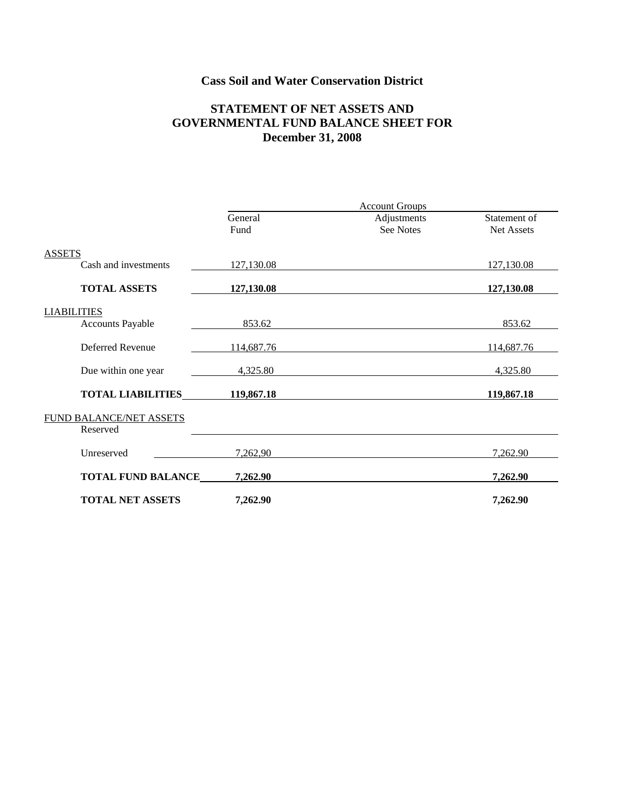# **Cass Soil and Water Conservation District**

### **STATEMENT OF NET ASSETS AND GOVERNMENTAL FUND BALANCE SHEET FOR December 31, 2008**

|                                            | <b>Account Groups</b> |                          |                            |
|--------------------------------------------|-----------------------|--------------------------|----------------------------|
|                                            | General<br>Fund       | Adjustments<br>See Notes | Statement of<br>Net Assets |
| <b>ASSETS</b>                              |                       |                          |                            |
| Cash and investments                       | 127,130.08            |                          | 127,130.08                 |
| <b>TOTAL ASSETS</b>                        | 127,130.08            |                          | 127,130.08                 |
| <b>LIABILITIES</b>                         |                       |                          |                            |
| <b>Accounts Payable</b>                    | 853.62                |                          | 853.62                     |
| Deferred Revenue                           | 114,687.76            |                          | 114,687.76                 |
| Due within one year                        | 4,325.80              |                          | 4,325.80                   |
| <b>TOTAL LIABILITIES</b> 119,867.18        |                       |                          | 119,867.18                 |
| <b>FUND BALANCE/NET ASSETS</b><br>Reserved |                       |                          |                            |
| Unreserved                                 | 7,262,90              |                          | 7,262.90                   |
| <b>TOTAL FUND BALANCE</b>                  | 7,262.90              |                          | 7,262.90                   |
| <b>TOTAL NET ASSETS</b>                    | 7,262.90              |                          | 7,262.90                   |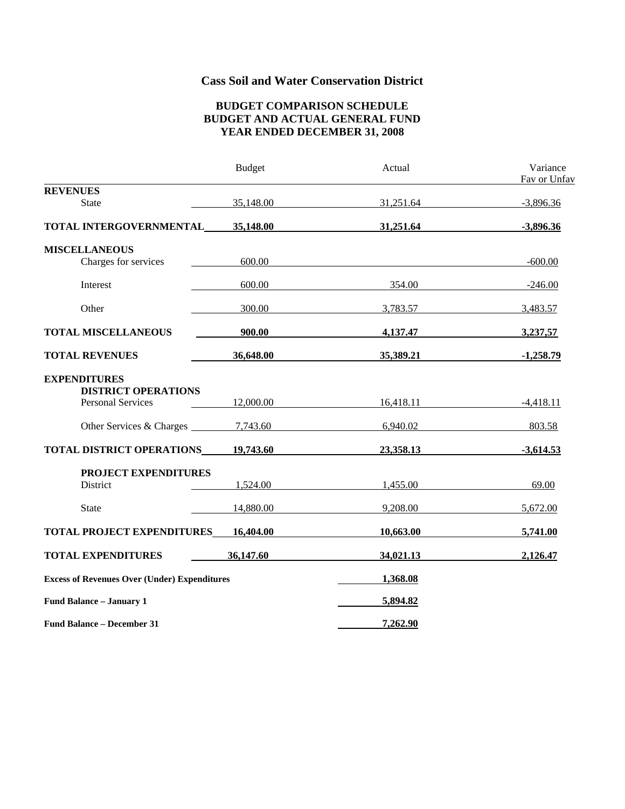# **Cass Soil and Water Conservation District**

#### **BUDGET COMPARISON SCHEDULE BUDGET AND ACTUAL GENERAL FUND YEAR ENDED DECEMBER 31, 2008**

|                                                     | <b>Budget</b> | Actual    | Variance<br>Fav or Unfav |
|-----------------------------------------------------|---------------|-----------|--------------------------|
| <b>REVENUES</b>                                     |               |           |                          |
| <b>State</b>                                        | 35,148.00     | 31,251.64 | $-3,896.36$              |
| TOTAL INTERGOVERNMENTAL                             | 35,148.00     | 31,251.64 | $-3,896.36$              |
| <b>MISCELLANEOUS</b>                                |               |           |                          |
| Charges for services                                | 600.00        |           | $-600.00$                |
| Interest                                            | 600.00        | 354.00    | $-246.00$                |
| Other                                               | 300.00        | 3,783.57  | 3,483.57                 |
| <b>TOTAL MISCELLANEOUS</b>                          | 900.00        | 4,137.47  | 3,237,57                 |
| <b>TOTAL REVENUES</b>                               | 36,648.00     | 35,389.21 | $-1,258.79$              |
| <b>EXPENDITURES</b><br><b>DISTRICT OPERATIONS</b>   |               |           |                          |
| <b>Personal Services</b>                            | 12,000.00     | 16,418.11 | $-4,418.11$              |
| Other Services & Charges 27,743.60                  |               | 6,940.02  | 803.58                   |
| TOTAL DISTRICT OPERATIONS                           | 19,743.60     | 23,358.13 | $-3,614.53$              |
| PROJECT EXPENDITURES                                |               |           |                          |
| District                                            | 1,524.00      | 1,455.00  | 69.00                    |
| <b>State</b>                                        | 14,880.00     | 9,208.00  | 5,672.00                 |
| <b>TOTAL PROJECT EXPENDITURES</b>                   | 16,404.00     | 10,663.00 | 5,741.00                 |
| <b>TOTAL EXPENDITURES</b>                           | 36,147.60     | 34,021.13 | 2,126.47                 |
| <b>Excess of Revenues Over (Under) Expenditures</b> |               | 1,368.08  |                          |
| Fund Balance - January 1                            |               | 5,894.82  |                          |
| <b>Fund Balance – December 31</b>                   |               | 7,262.90  |                          |